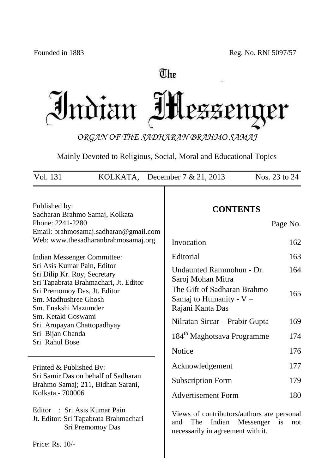# The Indian IH LEZENQ er

*ORGAN OF THE SADHARAN BRAHMO SAMAJ*

Mainly Devoted to Religious, Social, Moral and Educational Topics

| Vol. 131<br>KOLKATA, December $7 & 21, 2013$<br>Nos. 23 to 24                                                         |                                                                                                                |                                                                                                                      |            |
|-----------------------------------------------------------------------------------------------------------------------|----------------------------------------------------------------------------------------------------------------|----------------------------------------------------------------------------------------------------------------------|------------|
| Published by:<br>Phone: 2241-2280                                                                                     | Sadharan Brahmo Samaj, Kolkata<br>Email: brahmosamaj.sadharan@gmail.com<br>Web: www.thesadharanbrahmosamaj.org | <b>CONTENTS</b>                                                                                                      | Page No.   |
|                                                                                                                       |                                                                                                                | Invocation                                                                                                           | 162        |
| Indian Messenger Committee:<br>Sri Asis Kumar Pain, Editor<br>Sri Dilip Kr. Roy, Secretary                            |                                                                                                                | Editorial<br>Undaunted Rammohun - Dr.<br>Saroj Mohan Mitra                                                           | 163<br>164 |
| Sri Tapabrata Brahmachari, Jt. Editor<br>Sri Premomoy Das, Jt. Editor<br>Sm. Madhushree Ghosh<br>Sm. Enakshi Mazumder |                                                                                                                | The Gift of Sadharan Brahmo<br>Samaj to Humanity - $V -$<br>Rajani Kanta Das                                         | 165        |
| Sm. Ketaki Goswami<br>Sri Arupayan Chattopadhyay                                                                      |                                                                                                                | Nilratan Sircar – Prabir Gupta                                                                                       | 169        |
| Sri Bijan Chanda<br>Sri Rahul Bose                                                                                    |                                                                                                                | 184 <sup>th</sup> Maghotsava Programme                                                                               | 174        |
|                                                                                                                       |                                                                                                                | Notice                                                                                                               | 176        |
| Printed & Published By:                                                                                               |                                                                                                                | Acknowledgement                                                                                                      | 177        |
| Sri Samir Das on behalf of Sadharan                                                                                   | Brahmo Samaj; 211, Bidhan Sarani,                                                                              | <b>Subscription Form</b>                                                                                             | 179        |
| Kolkata - 700006                                                                                                      |                                                                                                                | <b>Advertisement Form</b>                                                                                            | 180        |
| Editor                                                                                                                | : Sri Asis Kumar Pain<br>Jt. Editor: Sri Tapabrata Brahmachari<br>Sri Premomoy Das                             | Views of contributors/authors are personal<br>The<br>Indian<br>Messenger<br>and<br>necessarily in agreement with it. | is<br>not  |
| Price: Rs. 10/-                                                                                                       |                                                                                                                |                                                                                                                      |            |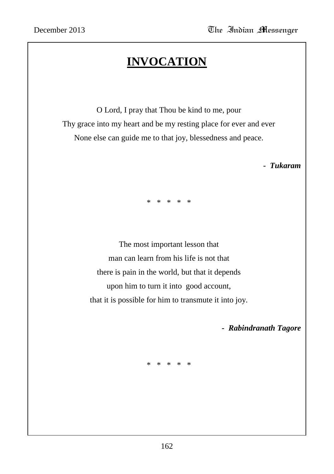# **INVOCATION**

O Lord, I pray that Thou be kind to me, pour Thy grace into my heart and be my resting place for ever and ever None else can guide me to that joy, blessedness and peace.

 *- Tukaram*

\* \* \* \* \*

The most important lesson that man can learn from his life is not that there is pain in the world, but that it depends upon him to turn it into good account, that it is possible for him to transmute it into joy.

 *- Rabindranath Tagore*

\* \* \* \* \*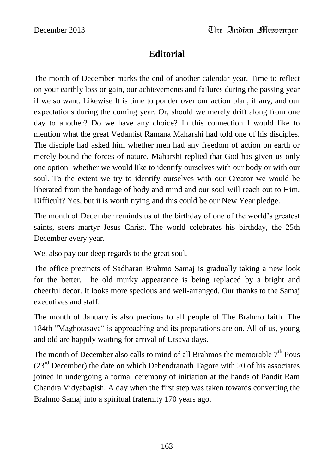### **Editorial**

The month of December marks the end of another calendar year. Time to reflect on your earthly loss or gain, our achievements and failures during the passing year if we so want. Likewise It is time to ponder over our action plan, if any, and our expectations during the coming year. Or, should we merely drift along from one day to another? Do we have any choice? In this connection I would like to mention what the great Vedantist Ramana Maharshi had told one of his disciples. The disciple had asked him whether men had any freedom of action on earth or merely bound the forces of nature. Maharshi replied that God has given us only one option- whether we would like to identify ourselves with our body or with our soul. To the extent we try to identify ourselves with our Creator we would be liberated from the bondage of body and mind and our soul will reach out to Him. Difficult? Yes, but it is worth trying and this could be our New Year pledge.

The month of December reminds us of the birthday of one of the world"s greatest saints, seers martyr Jesus Christ. The world celebrates his birthday, the 25th December every year.

We, also pay our deep regards to the great soul.

The office precincts of Sadharan Brahmo Samaj is gradually taking a new look for the better. The old murky appearance is being replaced by a bright and cheerful decor. It looks more specious and well-arranged. Our thanks to the Samaj executives and staff.

The month of January is also precious to all people of The Brahmo faith. The 184th "Maghotasava" is approaching and its preparations are on. All of us, young and old are happily waiting for arrival of Utsava days.

The month of December also calls to mind of all Brahmos the memorable  $7<sup>th</sup>$  Pous  $(23<sup>rd</sup> December)$  the date on which Debendranath Tagore with 20 of his associates joined in undergoing a formal ceremony of initiation at the hands of Pandit Ram Chandra Vidyabagish. A day when the first step was taken towards converting the Brahmo Samaj into a spiritual fraternity 170 years ago.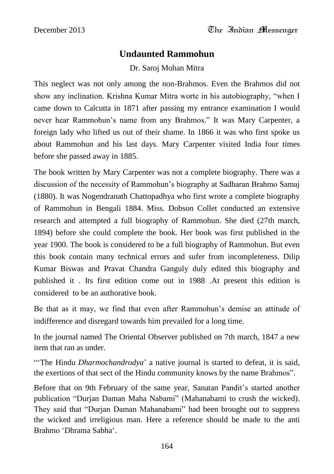#### **Undaunted Rammohun**

Dr. Saroj Mohan Mitra

This neglect was not only among the non-Brahmos. Even the Brahmos did not show any inclination. Krishna Kumar Mitra worte in his autobiography, "when I came down to Calcutta in 1871 after passing my entrance examination I would never hear Rammohun"s name from any Brahmos." It was Mary Carpenter, a foreign lady who lifted us out of their shame. In 1866 it was who first spoke us about Rammohun and his last days. Mary Carpenter visited India four times before she passed away in 1885.

The book written by Mary Carpenter was not a complete biography. There was a discussion of the necessity of Rammohun"s biography at Sadharan Brahmo Samaj (1880). It was Nogendranath Chattopadhya who first wrote a complete biography of Rammohun in Bengali 1884. Miss. Dobson Collet conducted an extensive research and attempted a full biography of Rammohun. She died (27th march, 1894) before she could complete the book. Her book was first published in the year 1900. The book is considered to be a full biography of Rammohun. But even this book contain many technical errors and sufer from incompleteness. Dilip Kumar Biswas and Pravat Chandra Ganguly duly edited this biography and published it . Its first edition come out in 1988 .At present this edition is considered to be an authorative book.

Be that as it may, we find that even after Rammohun"s demise an attitude of indifference and disregard towards him prevailed for a long time.

In the journal named The Oriental Observer published on 7th march, 1847 a new item that ran as under.

""The Hindu *Dharmochandrodya*" a native journal is started to defeat, it is said, the exertions of that sect of the Hindu community knows by the name Brahmos".

Before that on 9th February of the same year, Sanatan Pandit's started another publication "Durjan Daman Maha Nabami" (Mahanabami to crush the wicked). They said that "Durjan Daman Mahanabami" had been brought out to suppress the wicked and irreligious man. Here a reference should be made to the anti Brahmo "Dhrama Sabha".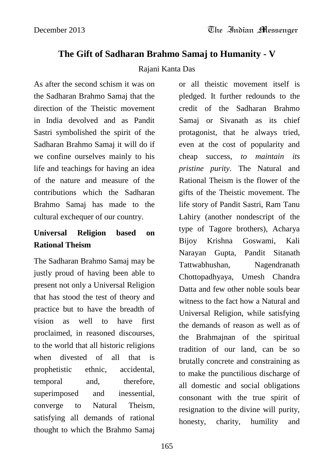### **The Gift of Sadharan Brahmo Samaj to Humanity - V**

#### Rajani Kanta Das

As after the second schism it was on the Sadharan Brahmo Samaj that the direction of the Theistic movement in India devolved and as Pandit Sastri symbolished the spirit of the Sadharan Brahmo Samaj it will do if we confine ourselves mainly to his life and teachings for having an idea of the nature and measure of the contributions which the Sadharan Brahmo Samaj has made to the cultural exchequer of our country.

## **Universal Religion based on Rational Theism**

The Sadharan Brahmo Samaj may be justly proud of having been able to present not only a Universal Religion that has stood the test of theory and practice but to have the breadth of vision as well to have first proclaimed, in reasoned discourses, to the world that all historic religions when divested of all that is prophetistic ethnic, accidental, temporal and, therefore, superimposed and inessential, converge to Natural Theism, satisfying all demands of rational thought to which the Brahmo Samaj

or all theistic movement itself is pledged. It further redounds to the credit of the Sadharan Brahmo Samaj or Sivanath as its chief protagonist, that he always tried, even at the cost of popularity and cheap success, *to maintain its pristine purity*. The Natural and Rational Theism is the flower of the gifts of the Theistic movement. The life story of Pandit Sastri, Ram Tanu Lahiry (another nondescript of the type of Tagore brothers), Acharya Bijoy Krishna Goswami, Kali Narayan Gupta, Pandit Sitanath Tattwabhushan, Nagendranath Chottopadhyaya, Umesh Chandra Datta and few other noble souls bear witness to the fact how a Natural and Universal Religion, while satisfying the demands of reason as well as of the Brahmajnan of the spiritual tradition of our land, can be so brutally concrete and constraining as to make the punctilious discharge of all domestic and social obligations consonant with the true spirit of resignation to the divine will purity, honesty, charity, humility and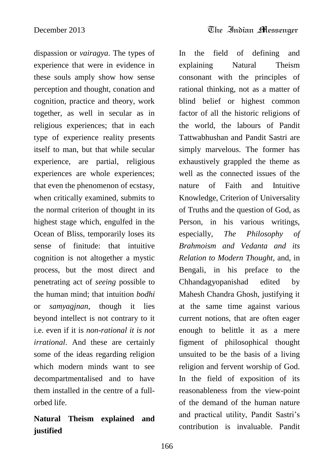dispassion or *vairagya*. The types of experience that were in evidence in these souls amply show how sense perception and thought, conation and cognition, practice and theory, work together, as well in secular as in religious experiences; that in each type of experience reality presents itself to man, but that while secular experience, are partial, religious experiences are whole experiences; that even the phenomenon of ecstasy, when critically examined, submits to the normal criterion of thought in its highest stage which, engulfed in the Ocean of Bliss, temporarily loses its sense of finitude: that intuitive cognition is not altogether a mystic process, but the most direct and penetrating act of *seeing* possible to the human mind; that intuition *bodhi* or *samyagjnan*, though it lies beyond intellect is not contrary to it i.e. even if it is *non-rational it is not irrational*. And these are certainly some of the ideas regarding religion which modern minds want to see decompartmentalised and to have them installed in the centre of a fullorbed life.

# **Natural Theism explained and justified**

In the field of defining and explaining Natural Theism consonant with the principles of rational thinking, not as a matter of blind belief or highest common factor of all the historic religions of the world, the labours of Pandit Tattwabhushan and Pandit Sastri are simply marvelous. The former has exhaustively grappled the theme as well as the connected issues of the nature of Faith and Intuitive Knowledge, Criterion of Universality of Truths and the question of God, as Person, in his various writings, especially, *The Philosophy of Brahmoism and Vedanta and its Relation to Modern Thought*, and, in Bengali, in his preface to the Chhandagyopanishad edited by Mahesh Chandra Ghosh, justifying it at the same time against various current notions, that are often eager enough to belittle it as a mere figment of philosophical thought unsuited to be the basis of a living religion and fervent worship of God. In the field of exposition of its reasonableness from the view-point of the demand of the human nature and practical utility, Pandit Sastri's contribution is invaluable. Pandit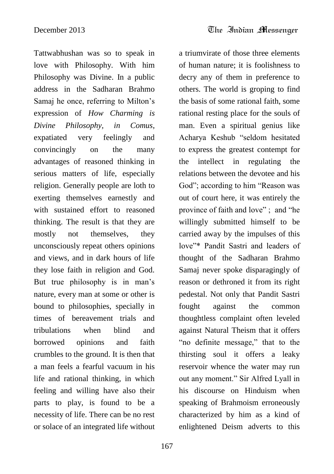Tattwabhushan was so to speak in love with Philosophy. With him Philosophy was Divine. In a public address in the Sadharan Brahmo Samaj he once, referring to Milton's expression of *How Charming is Divine Philosophy, in Comus*, expatiated very feelingly and convincingly on the many advantages of reasoned thinking in serious matters of life, especially religion. Generally people are loth to exerting themselves earnestly and with sustained effort to reasoned thinking. The result is that they are mostly not themselves, they unconsciously repeat others opinions and views, and in dark hours of life they lose faith in religion and God. But true philosophy is in man's nature, every man at some or other is bound to philosophies, specially in times of bereavement trials and tribulations when blind and borrowed opinions and faith crumbles to the ground. It is then that a man feels a fearful vacuum in his life and rational thinking, in which feeling and willing have also their parts to play, is found to be a necessity of life. There can be no rest or solace of an integrated life without

a triumvirate of those three elements of human nature; it is foolishness to decry any of them in preference to others. The world is groping to find the basis of some rational faith, some rational resting place for the souls of man. Even a spiritual genius like Acharya Keshub "seldom hesitated to express the greatest contempt for the intellect in regulating the relations between the devotee and his God"; according to him "Reason was out of court here, it was entirely the province of faith and love" ; and "he willingly submitted himself to be carried away by the impulses of this love"\* Pandit Sastri and leaders of thought of the Sadharan Brahmo Samaj never spoke disparagingly of reason or dethroned it from its right pedestal. Not only that Pandit Sastri fought against the common thoughtless complaint often leveled against Natural Theism that it offers "no definite message," that to the thirsting soul it offers a leaky reservoir whence the water may run out any moment." Sir Alfred Lyall in his discourse on Hinduism when speaking of Brahmoism erroneously characterized by him as a kind of enlightened Deism adverts to this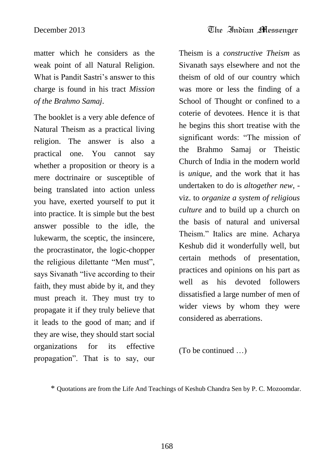matter which he considers as the weak point of all Natural Religion. What is Pandit Sastri's answer to this charge is found in his tract *Mission of the Brahmo Samaj*.

The booklet is a very able defence of Natural Theism as a practical living religion. The answer is also a practical one. You cannot say whether a proposition or theory is a mere doctrinaire or susceptible of being translated into action unless you have, exerted yourself to put it into practice. It is simple but the best answer possible to the idle, the lukewarm, the sceptic, the insincere, the procrastinator, the logic-chopper the religious dilettante "Men must", says Sivanath "live according to their faith, they must abide by it, and they must preach it. They must try to propagate it if they truly believe that it leads to the good of man; and if they are wise, they should start social organizations for its effective propagation". That is to say, our

Theism is a *constructive Theism* as Sivanath says elsewhere and not the theism of old of our country which was more or less the finding of a School of Thought or confined to a coterie of devotees. Hence it is that he begins this short treatise with the significant words: "The mission of the Brahmo Samaj or Theistic Church of India in the modern world is *unique*, and the work that it has undertaken to do is *altogether new*, viz. to *organize a system of religious culture* and to build up a church on the basis of natural and universal Theism." Italics are mine. Acharya Keshub did it wonderfully well, but certain methods of presentation, practices and opinions on his part as well as his devoted followers dissatisfied a large number of men of wider views by whom they were considered as aberrations.

(To be continued …)

<sup>\*</sup> Quotations are from the Life And Teachings of Keshub Chandra Sen by P. C. Mozoomdar.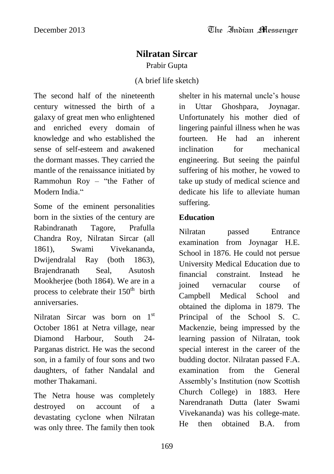#### **Nilratan Sircar**

Prabir Gupta

(A brief life sketch)

The second half of the nineteenth century witnessed the birth of a galaxy of great men who enlightened and enriched every domain of knowledge and who established the sense of self-esteem and awakened the dormant masses. They carried the mantle of the renaissance initiated by Rammohun Roy – "the Father of Modern India."

Some of the eminent personalities born in the sixties of the century are Rabindranath Tagore, Prafulla Chandra Roy, Nilratan Sircar (all 1861), Swami Vivekananda, Dwijendralal Ray (both 1863), Brajendranath Seal, Asutosh Mookherjee (both 1864). We are in a process to celebrate their  $150<sup>th</sup>$  birth anniversaries.

Nilratan Sircar was born on 1<sup>st</sup> October 1861 at Netra village, near Diamond Harbour, South 24- Parganas district. He was the second son, in a family of four sons and two daughters, of father Nandalal and mother Thakamani.

The Netra house was completely destroyed on account of a devastating cyclone when Nilratan was only three. The family then took shelter in his maternal uncle's house in Uttar Ghoshpara, Joynagar. Unfortunately his mother died of lingering painful illness when he was fourteen. He had an inherent inclination for mechanical engineering. But seeing the painful suffering of his mother, he vowed to take up study of medical science and dedicate his life to alleviate human suffering.

#### **Education**

Nilratan passed Entrance examination from Joynagar H.E. School in 1876. He could not persue University Medical Education due to financial constraint. Instead he joined vernacular course of Campbell Medical School and obtained the diploma in 1879. The Principal of the School S. C. Mackenzie, being impressed by the learning passion of Nilratan, took special interest in the career of the budding doctor. Nilratan passed F.A. examination from the General Assembly"s Institution (now Scottish Church College) in 1883. Here Narendranath Dutta (later Swami Vivekananda) was his college-mate. He then obtained B.A. from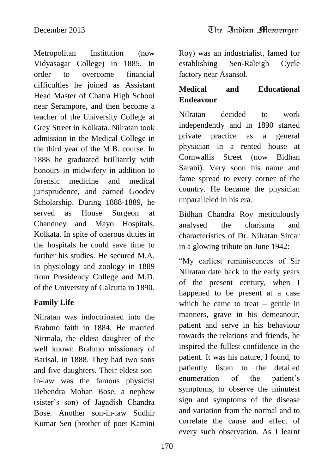Metropolitan Institution (now Vidyasagar College) in 1885. In order to overcome financial difficulties he joined as Assistant Head Master of Chatra High School near Serampore, and then become a teacher of the University College at Grey Street in Kolkata. Nilratan took admission in the Medical College in the third year of the M.B. course. In 1888 he graduated brilliantly with honours in midwifery in addition to forensic medicine and medical jurisprudence, and earned Goodev Scholarship. During 1888-1889, he served as House Surgeon at Chandney and Mayo Hospitals, Kolkata. In spite of onerous duties in the hospitals he could save time to further his studies. He secured M.A. in physiology and zoology in 1889 from Presidency College and M.D. of the University of Calcutta in 1890.

#### **Family Life**

Nilratan was indoctrinated into the Brahmo faith in 1884. He married Nirmala, the eldest daughter of the well known Brahmo missionary of Barisal, in 1888. They had two sons and five daughters. Their eldest sonin-law was the famous physicist Debendra Mohan Bose, a nephew (sister"s son) of Jagadish Chandra Bose. Another son-in-law Sudhir Kumar Sen (brother of poet Kamini

December 2013 The Indian Messenger

Roy) was an industrialist, famed for establishing Sen-Raleigh Cycle factory near Asansol.

## **Medical and Educational Endeavour**

Nilratan decided to work independently and in 1890 started private practice as a general physician in a rented house at Cornwallis Street (now Bidhan Sarani). Very soon his name and fame spread to every corner of the country. He became the physician unparalleled in his era.

Bidhan Chandra Roy meticulously analysed the charisma and characteristics of Dr. Nilratan Sircar in a glowing tribute on June 1942:

"My earliest reminiscences of Sir Nilratan date back to the early years of the present century, when I happened to be present at a case which he came to treat – gentle in manners, grave in his demeanour, patient and serve in his behaviour towards the relations and friends, he inspired the fullest confidence in the patient. It was his nature, I found, to patiently listen to the detailed enumeration of the patient's symptoms, to observe the minutest sign and symptoms of the disease and variation from the normal and to correlate the cause and effect of every such observation. As I learnt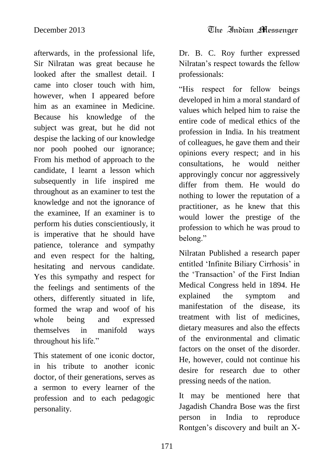afterwards, in the professional life, Sir Nilratan was great because he looked after the smallest detail. I came into closer touch with him, however, when I appeared before him as an examinee in Medicine. Because his knowledge of the subject was great, but he did not despise the lacking of our knowledge nor pooh poohed our ignorance; From his method of approach to the candidate, I learnt a lesson which subsequently in life inspired me throughout as an examiner to test the knowledge and not the ignorance of the examinee, If an examiner is to perform his duties conscientiously, it is imperative that he should have patience, tolerance and sympathy and even respect for the halting, hesitating and nervous candidate. Yes this sympathy and respect for the feelings and sentiments of the others, differently situated in life, formed the wrap and woof of his whole being and expressed themselves in manifold ways throughout his life."

This statement of one iconic doctor, in his tribute to another iconic doctor, of their generations, serves as a sermon to every learner of the profession and to each pedagogic personality.

Dr. B. C. Roy further expressed Nilratan"s respect towards the fellow professionals:

"His respect for fellow beings developed in him a moral standard of values which helped him to raise the entire code of medical ethics of the profession in India. In his treatment of colleagues, he gave them and their opinions every respect; and in his consultations, he would neither approvingly concur nor aggressively differ from them. He would do nothing to lower the reputation of a practitioner, as he knew that this would lower the prestige of the profession to which he was proud to belong."

Nilratan Published a research paper entitled 'Infinite Biliary Cirrhosis' in the "Transaction" of the First Indian Medical Congress held in 1894. He explained the symptom and manifestation of the disease, its treatment with list of medicines, dietary measures and also the effects of the environmental and climatic factors on the onset of the disorder. He, however, could not continue his desire for research due to other pressing needs of the nation.

It may be mentioned here that Jagadish Chandra Bose was the first person in India to reproduce Rontgen"s discovery and built an X-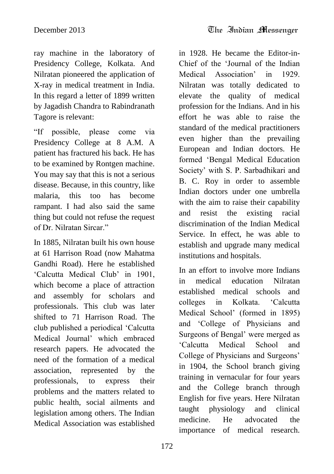ray machine in the laboratory of Presidency College, Kolkata. And Nilratan pioneered the application of X-ray in medical treatment in India. In this regard a letter of 1899 written by Jagadish Chandra to Rabindranath Tagore is relevant:

"If possible, please come via Presidency College at 8 A.M. A patient has fractured his back. He has to be examined by Rontgen machine. You may say that this is not a serious disease. Because, in this country, like malaria, this too has become rampant. I had also said the same thing but could not refuse the request of Dr. Nilratan Sircar."

In 1885, Nilratan built his own house at 61 Harrison Road (now Mahatma Gandhi Road). Here he established "Calcutta Medical Club" in 1901, which become a place of attraction and assembly for scholars and professionals. This club was later shifted to 71 Harrison Road. The club published a periodical "Calcutta Medical Journal" which embraced research papers. He advocated the need of the formation of a medical association, represented by the professionals, to express their problems and the matters related to public health, social ailments and legislation among others. The Indian Medical Association was established

in 1928. He became the Editor-in-Chief of the "Journal of the Indian Medical Association" in 1929. Nilratan was totally dedicated to elevate the quality of medical profession for the Indians. And in his effort he was able to raise the standard of the medical practitioners even higher than the prevailing European and Indian doctors. He formed "Bengal Medical Education Society" with S. P. Sarbadhikari and B. C. Roy in order to assemble Indian doctors under one umbrella with the aim to raise their capability and resist the existing racial discrimination of the Indian Medical Service. In effect, he was able to establish and upgrade many medical institutions and hospitals.

In an effort to involve more Indians in medical education Nilratan established medical schools and colleges in Kolkata. "Calcutta Medical School" (formed in 1895) and "College of Physicians and Surgeons of Bengal" were merged as "Calcutta Medical School and College of Physicians and Surgeons" in 1904, the School branch giving training in vernacular for four years and the College branch through English for five years. Here Nilratan taught physiology and clinical medicine. He advocated the importance of medical research.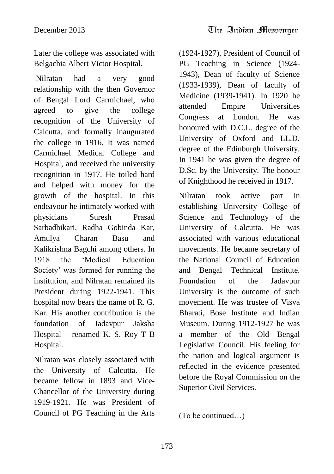Later the college was associated with Belgachia Albert Victor Hospital.

Nilratan had a very good relationship with the then Governor of Bengal Lord Carmichael, who agreed to give the college recognition of the University of Calcutta, and formally inaugurated the college in 1916. It was named Carmichael Medical College and Hospital, and received the university recognition in 1917. He toiled hard and helped with money for the growth of the hospital. In this endeavour he intimately worked with physicians Suresh Prasad Sarbadhikari, Radha Gobinda Kar, Amulya Charan Basu and Kalikrishna Bagchi among others. In 1918 the "Medical Education Society" was formed for running the institution, and Nilratan remained its President during 1922-1941. This hospital now bears the name of R. G. Kar. His another contribution is the foundation of Jadavpur Jaksha Hospital – renamed K. S. Roy T B Hospital.

Nilratan was closely associated with the University of Calcutta. He became fellow in 1893 and Vice-Chancellor of the University during 1919-1921. He was President of Council of PG Teaching in the Arts

(1924-1927), President of Council of PG Teaching in Science (1924- 1943), Dean of faculty of Science (1933-1939), Dean of faculty of Medicine (1939-1941). In 1920 he attended Empire Universities Congress at London. He was honoured with D.C.L. degree of the University of Oxford and LL.D. degree of the Edinburgh University. In 1941 he was given the degree of D.Sc. by the University. The honour of Knighthood he received in 1917.

Nilratan took active part in establishing University College of Science and Technology of the University of Calcutta. He was associated with various educational movements. He became secretary of the National Council of Education and Bengal Technical Institute. Foundation of the Jadavpur University is the outcome of such movement. He was trustee of Visva Bharati, Bose Institute and Indian Museum. During 1912-1927 he was a member of the Old Bengal Legislative Council. His feeling for the nation and logical argument is reflected in the evidence presented before the Royal Commission on the Superior Civil Services.

(To be continued…)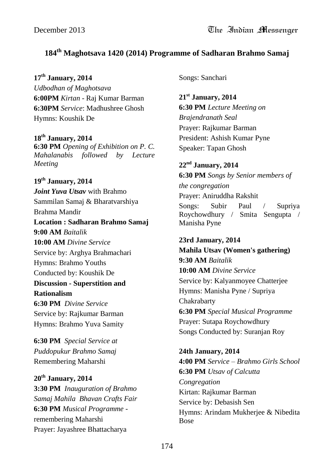#### **184th Maghotsava 1420 (2014) Programme of Sadharan Brahmo Samaj**

**17th January, 2014**

*Udbodhan of Maghotsava* **6:00PM** *Kirtan* - Raj Kumar Barman **6:30PM** *Service*: Madhushree Ghosh Hymns: Koushik De

**18th January, 2014 6:30 PM** *Opening of Exhibition on P. C. Mahalanabis followed by Lecture Meeting*

**19th January, 2014** *Joint Yuva Utsav* with Brahmo Sammilan Samaj & Bharatvarshiya Brahma Mandir **Location : Sadharan Brahmo Samaj 9:00 AM** *Baitalik* **10:00 AM** *Divine Service* Service by: Arghya Brahmachari Hymns: Brahmo Youths Conducted by: Koushik De **Discussion - Superstition and Rationalism 6:30 PM** *Divine Service* Service by: Rajkumar Barman Hymns: Brahmo Yuva Samity

**6:30 PM** *Special Service at Puddopukur Brahmo Samaj* Remembering Maharshi

#### **20th January, 2014 3:30 PM** *Inauguration of Brahmo Samaj Mahila Bhavan Crafts Fair* **6:30 PM** *Musical Programme* remembering Maharshi Prayer: Jayashree Bhattacharya

Songs: Sanchari

**21st January, 2014 6:30 PM** *Lecture Meeting on Brajendranath Seal* Prayer: Rajkumar Barman President: Ashish Kumar Pyne Speaker: Tapan Ghosh

**22nd January, 2014 6:30 PM** *Songs by Senior members of the congregation* Prayer: Aniruddha Rakshit Songs: Subir Paul / Supriya Roychowdhury / Smita Sengupta / Manisha Pyne

#### **23rd January, 2014 Mahila Utsav (Women's gathering) 9:30 AM** *Baitalik* **10:00 AM** *Divine Service* Service by: Kalyanmoyee Chatterjee Hymns: Manisha Pyne / Supriya Chakrabarty **6:30 PM** *Special Musical Programme* Prayer: Sutapa Roychowdhury

Songs Conducted by: Suranjan Roy

**24th January, 2014 4:00 PM** *Service – Brahmo Girls School* **6:30 PM** *Utsav of Calcutta Congregation* Kirtan: Rajkumar Barman Service by: Debasish Sen Hymns: Arindam Mukherjee & Nibedita Bose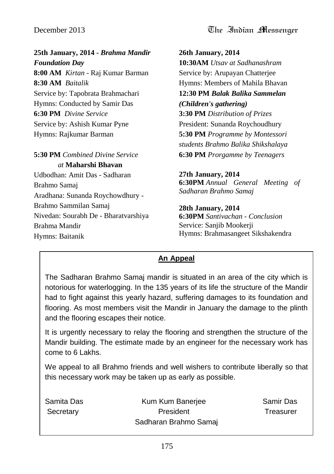**25th January, 2014 -** *Brahma Mandir Foundation Day* **8:00 AM** *Kirtan* - Raj Kumar Barman **8:30 AM** *Baitalik* Service by: Tapobrata Brahmachari Hymns: Conducted by Samir Das **6:30 PM** *Divine Service* Service by: Ashish Kumar Pyne Hymns: Rajkumar Barman

**5:30 PM** *Combined Divine Service at* **Maharshi Bhavan**

Udbodhan: Amit Das - Sadharan Brahmo Samaj Aradhana: Sunanda Roychowdhury - Brahmo Sammilan Samaj Nivedan: Sourabh De - Bharatvarshiya Brahma Mandir Hymns: Baitanik

**26th January, 2014 10:30AM** *Utsav at Sadhanashram* Service by: Arupayan Chatterjee Hymns: Members of Mahila Bhavan **12:30 PM** *Balak Balika Sammelan (Children's gathering)* **3:30 PM** *Distribution of Prizes* President: Sunanda Roychoudhury **5:30 PM** *Programme by Montessori students Brahmo Balika Shikshalaya* **6:30 PM** *Prorgamme by Teenagers*

**27th January, 2014 6:30PM** *Annual General Meeting of Sadharan Brahmo Samaj*

**28th January, 2014 6:30PM** *Santivachan - Conclusion*

Service: Sanjib Mookerji Hymns: Brahmasangeet Sikshakendra

#### **An Appeal**

The Sadharan Brahmo Samaj mandir is situated in an area of the city which is notorious for waterlogging. In the 135 years of its life the structure of the Mandir had to fight against this yearly hazard, suffering damages to its foundation and flooring. As most members visit the Mandir in January the damage to the plinth and the flooring escapes their notice.

It is urgently necessary to relay the flooring and strengthen the structure of the Mandir building. The estimate made by an engineer for the necessary work has come to 6 Lakhs.

We appeal to all Brahmo friends and well wishers to contribute liberally so that this necessary work may be taken up as early as possible.

| Samita Das            | Kum Kum Banerjee | Samir Das |
|-----------------------|------------------|-----------|
| Secretary             | President        | Treasurer |
| Sadharan Brahmo Samaj |                  |           |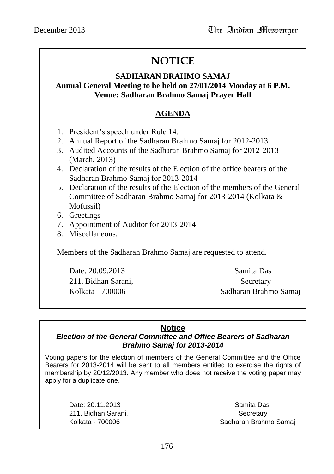# **NOTICE**

#### **SADHARAN BRAHMO SAMAJ Annual General Meeting to be held on 27/01/2014 Monday at 6 P.M. Venue: Sadharan Brahmo Samaj Prayer Hall**

#### **AGENDA**

- 1. President"s speech under Rule 14.
- 2. Annual Report of the Sadharan Brahmo Samaj for 2012-2013
- 3. Audited Accounts of the Sadharan Brahmo Samaj for 2012-2013 (March, 2013)
- 4. Declaration of the results of the Election of the office bearers of the Sadharan Brahmo Samaj for 2013-2014
- 5. Declaration of the results of the Election of the members of the General Committee of Sadharan Brahmo Samaj for 2013-2014 (Kolkata & Mofussil)
- 6. Greetings
- 7. Appointment of Auditor for 2013-2014
- 8. Miscellaneous.

Members of the Sadharan Brahmo Samaj are requested to attend.

Date: 20.09.2013 Samita Das 211, Bidhan Sarani, Secretary

Kolkata - 700006 Sadharan Brahmo Samaj

#### **Notice**

#### *Election of the General Committee and Office Bearers of Sadharan Brahmo Samaj for 2013-2014*

Voting papers for the election of members of the General Committee and the Office Bearers for 2013-2014 will be sent to all members entitled to exercise the rights of membership by 20/12/2013. Any member who does not receive the voting paper may apply for a duplicate one.

211, Bidhan Sarani, Santang Barang Secretary

Date: 20.11.2013 Samita Das Kolkata - 700006 Sadharan Brahmo Samai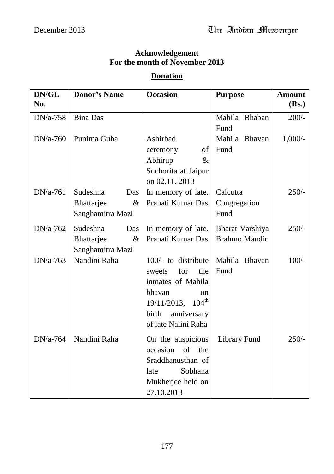#### **Acknowledgement For the month of November 2013**

#### **Donation**

| DN/GL<br>No. | <b>Donor's Name</b>                                       | <b>Occasion</b>                                                                                                                                                                | <b>Purpose</b>                          | <b>Amount</b><br>(Rs.) |
|--------------|-----------------------------------------------------------|--------------------------------------------------------------------------------------------------------------------------------------------------------------------------------|-----------------------------------------|------------------------|
| $DN/a-758$   | <b>Bina Das</b>                                           |                                                                                                                                                                                | Mahila Bhaban<br>Fund                   | $200/-$                |
| $DN/a-760$   | Punima Guha                                               | Ashirbad<br>ceremony<br>οf<br>Abhirup<br>$\&$<br>Suchorita at Jaipur<br>on 02.11.2013                                                                                          | Mahila Bhavan<br>Fund                   | $1,000/-$              |
| $DN/a-761$   | Sudeshna<br>Das<br>Bhattarjee<br>$\&$<br>Sanghamitra Mazi | In memory of late.<br>Pranati Kumar Das                                                                                                                                        | Calcutta<br>Congregation<br>Fund        | $250/-$                |
| $DN/a-762$   | Sudeshna<br>Das<br>Bhattarjee<br>$\&$<br>Sanghamitra Mazi | In memory of late.<br>Pranati Kumar Das                                                                                                                                        | Bharat Varshiya<br><b>Brahmo Mandir</b> | $250/-$                |
| $DN/a-763$   | Nandini Raha                                              | 100/- to distribute<br>for<br>the<br>sweets<br>inmates of Mahila<br>bhavan<br><sub>on</sub><br>$19/11/2013$ , $104^{\text{th}}$<br>birth<br>anniversary<br>of late Nalini Raha | Mahila Bhavan<br>Fund                   | $100/-$                |
| $DN/a-764$   | Nandini Raha                                              | On the auspicious<br>occasion<br>of<br>the<br>Sraddhanusthan of<br>Sobhana<br>late<br>Mukherjee held on<br>27.10.2013                                                          | <b>Library Fund</b>                     | $250/-$                |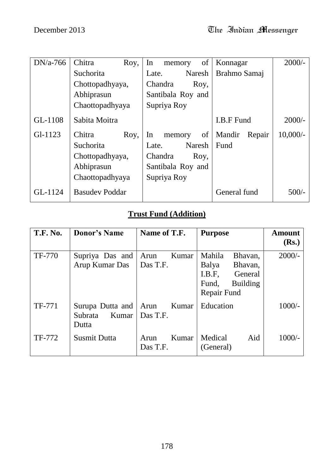| $DN/a-766$ | Chitra<br>Roy,        | of<br>In<br>memory | Konnagar          | $2000/-$   |
|------------|-----------------------|--------------------|-------------------|------------|
|            | Suchorita             | Naresh<br>Late.    | Brahmo Samaj      |            |
|            | Chottopadhyaya,       | Chandra<br>Roy,    |                   |            |
|            | Abhiprasun            | Santibala Roy and  |                   |            |
|            | Chaottopadhyaya       | Supriya Roy        |                   |            |
| GL-1108    | Sabita Moitra         |                    | <b>I.B.F Fund</b> | $2000/-$   |
| $Gl-1123$  | Chitra<br>Roy,        | In<br>of<br>memory | Mandir<br>Repair  | $10,000/-$ |
|            | Suchorita             | Naresh<br>Late.    | Fund              |            |
|            | Chottopadhyaya,       | Chandra<br>Roy,    |                   |            |
|            | Abhiprasun            | Santibala Roy and  |                   |            |
|            | Chaottopadhyaya       | Supriya Roy        |                   |            |
| GL-1124    | <b>Basudev Poddar</b> |                    | General fund      | $500/-$    |

# **Trust Fund (Addition)**

| <b>T.F. No.</b> | <b>Donor's Name</b>                           | Name of T.F.              | <b>Purpose</b>                                             | <b>Amount</b> |
|-----------------|-----------------------------------------------|---------------------------|------------------------------------------------------------|---------------|
|                 |                                               |                           |                                                            | (Rs.)         |
| <b>TF-770</b>   | Supriya Das and<br>Arup Kumar Das             | Kumar<br>Arun<br>Das T.F. | Mahila<br>Bhavan,<br>Balya<br>Bhavan,<br>I.B.F.<br>General | $2000/-$      |
|                 |                                               |                           | Fund,<br><b>Building</b><br>Repair Fund                    |               |
| TF-771          | Surupa Dutta and<br>Subrata<br>Kumar<br>Dutta | Arun<br>Kumar<br>Das T.F. | Education                                                  | $1000/-$      |
| TF-772          | <b>Susmit Dutta</b>                           | Kumar<br>Arun<br>Das T.F. | Medical<br>Aid<br>(General)                                | $1000/-$      |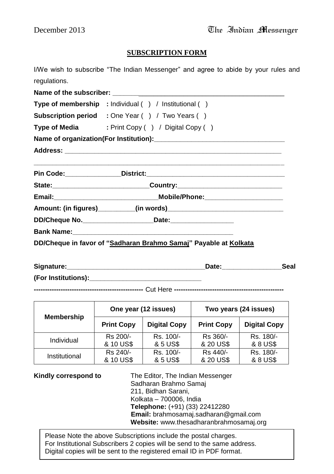#### **SUBSCRIPTION FORM**

I/We wish to subscribe "The Indian Messenger" and agree to abide by your rules and regulations.

Name of the subscriber: **Type of membership :** Individual ( ) / Institutional ( ) **Subscription period :** One Year ( ) / Two Years ( ) **Type of Media** : Print Copy ( ) / Digital Copy ( ) **Name of organization(For Institution):\_\_\_\_\_\_\_\_\_\_\_\_\_\_\_\_\_\_\_\_\_\_\_\_\_\_\_\_\_\_\_\_\_\_\_ Address: \_\_\_\_\_\_\_\_\_\_\_\_\_\_\_\_\_\_\_\_\_\_\_\_\_\_\_\_\_\_\_\_\_\_\_\_\_\_\_\_\_\_\_\_\_\_\_\_\_\_\_\_\_\_\_\_\_\_ \_\_\_\_\_\_\_\_\_\_\_\_\_\_\_\_\_\_\_\_\_\_\_\_\_\_\_\_\_\_\_\_\_\_\_\_\_\_\_\_\_\_\_\_\_\_\_\_\_\_\_\_\_\_\_\_\_\_\_\_\_\_\_\_\_\_\_ Pin Code:\_\_\_\_\_\_\_\_\_\_\_\_\_\_\_District:\_\_\_\_\_\_\_\_\_\_\_\_\_\_\_\_\_\_\_\_\_\_\_\_\_\_\_\_\_\_\_\_\_\_\_\_\_ State:\_\_\_\_\_\_\_\_\_\_\_\_\_\_\_\_\_\_\_\_\_\_\_\_\_\_Country:\_\_\_\_\_\_\_\_\_\_\_\_\_\_\_\_\_\_\_\_\_\_\_\_\_\_\_\_ Email:\_\_\_\_\_\_\_\_\_\_\_\_\_\_\_\_\_\_\_\_\_\_\_\_\_\_\_\_Mobile/Phone:\_\_\_\_\_\_\_\_\_\_\_\_\_\_\_\_\_\_\_\_\_ Amount: (in figures)\_\_\_\_\_\_\_\_\_\_(in words)\_\_\_\_\_\_\_\_\_\_\_\_\_\_\_\_\_\_\_\_\_\_\_\_\_\_\_\_\_\_\_ DD/Cheque No.\_\_\_\_\_\_\_\_\_\_\_\_\_\_\_\_\_\_\_Date:\_\_\_\_\_\_\_\_\_\_\_\_\_\_\_\_\_ Bank Name: DD/Cheque in favor of "Sadharan Brahmo Samaj" Payable at Kolkata**

| Signature:          | Date: | Seal |
|---------------------|-------|------|
| (For Institutions): |       |      |

**-------------------------------------------------** Cut Here **-------------------------------------------------**

| <b>Membership</b> | One year (12 issues) |                     | Two years (24 issues) |                     |
|-------------------|----------------------|---------------------|-----------------------|---------------------|
|                   | <b>Print Copy</b>    | <b>Digital Copy</b> | <b>Print Copy</b>     | <b>Digital Copy</b> |
| Individual        | Rs 200/-             | Rs. 100/-           | Rs 360/-              | Rs. 180/-           |
|                   | & 10 US\$            | & 5 US\$            | & 20 US\$             | & 8 US\$            |
| Institutional     | Rs 240/-             | Rs. 100/-           | Rs 440/-              | Rs. 180/-           |
|                   | & 10 US\$            | & 5 US\$            | & 20 US\$             | & 8 US\$            |

**Kindly correspond to** The Editor, The Indian Messenger Sadharan Brahmo Samaj 211, Bidhan Sarani, Kolkata – 700006, India **Telephone:** (+91) (33) 22412280 **Email:** brahmosamaj.sadharan@gmail.com **Website:** www.thesadharanbrahmosamaj.org

For Institutional Subscribers 2 copies will be send to the same address.<br>Dirital conics will be sent to the saciitational small ID in DDE format. Please Note the above Subscriptions include the postal charges. Digital copies will be sent to the registered email ID in PDF format.